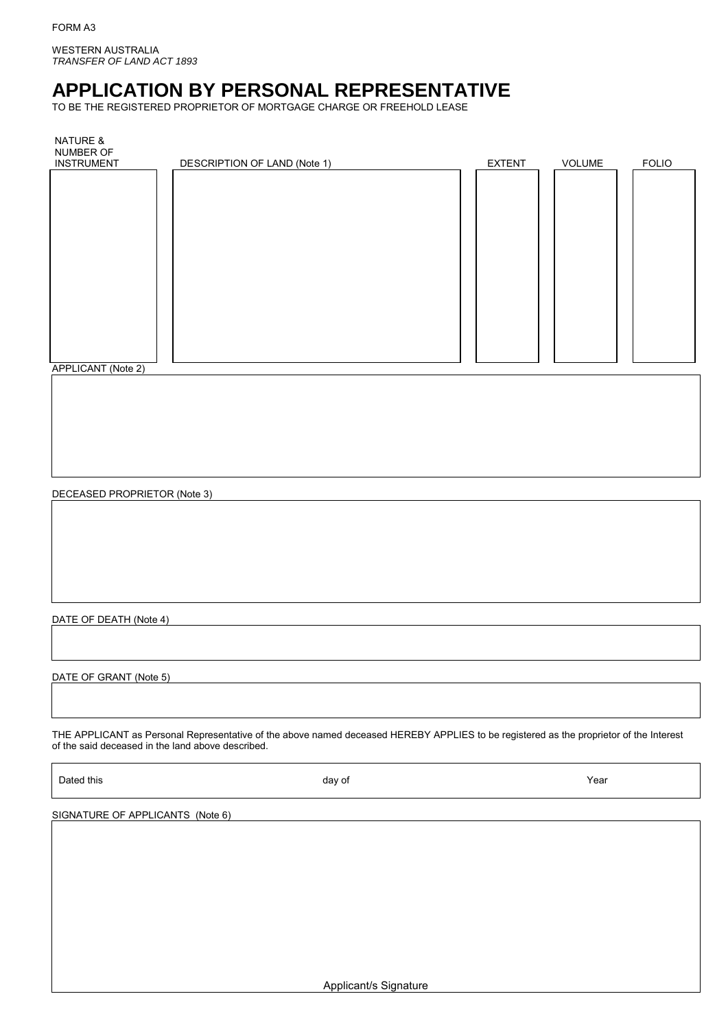WESTERN AUSTRALIA *TRANSFER OF LAND ACT 1893*

# **APPLICATION BY PERSONAL REPRESENTATIVE**

TO BE THE REGISTERED PROPRIETOR OF MORTGAGE CHARGE OR FREEHOLD LEASE

| <b>NATURE &amp;</b><br>NUMBER OF |                              |               |               |              |
|----------------------------------|------------------------------|---------------|---------------|--------------|
| <b>INSTRUMENT</b>                | DESCRIPTION OF LAND (Note 1) | <b>EXTENT</b> | <b>VOLUME</b> | <b>FOLIO</b> |
|                                  |                              |               |               |              |
|                                  |                              |               |               |              |
|                                  |                              |               |               |              |
|                                  |                              |               |               |              |
|                                  |                              |               |               |              |
|                                  |                              |               |               |              |
|                                  |                              |               |               |              |
|                                  |                              |               |               |              |
|                                  |                              |               |               |              |
|                                  |                              |               |               |              |
|                                  |                              |               |               |              |
|                                  |                              |               |               |              |
|                                  |                              |               |               |              |
|                                  |                              |               |               |              |
|                                  |                              |               |               |              |
|                                  |                              |               |               |              |
|                                  |                              |               |               |              |
|                                  |                              |               |               |              |
| APPLICANT (Note 2)               |                              |               |               |              |
|                                  |                              |               |               |              |
|                                  |                              |               |               |              |

DECEASED PROPRIETOR (Note 3)

# DATE OF DEATH (Note 4)

DATE OF GRANT (Note 5)

THE APPLICANT as Personal Representative of the above named deceased HEREBY APPLIES to be registered as the proprietor of the Interest of the said deceased in the land above described.

Dated this and the Marian Community of Marian Community of Near Albert Community of Near Albert Community of Near

SIGNATURE OF APPLICANTS (Note 6)